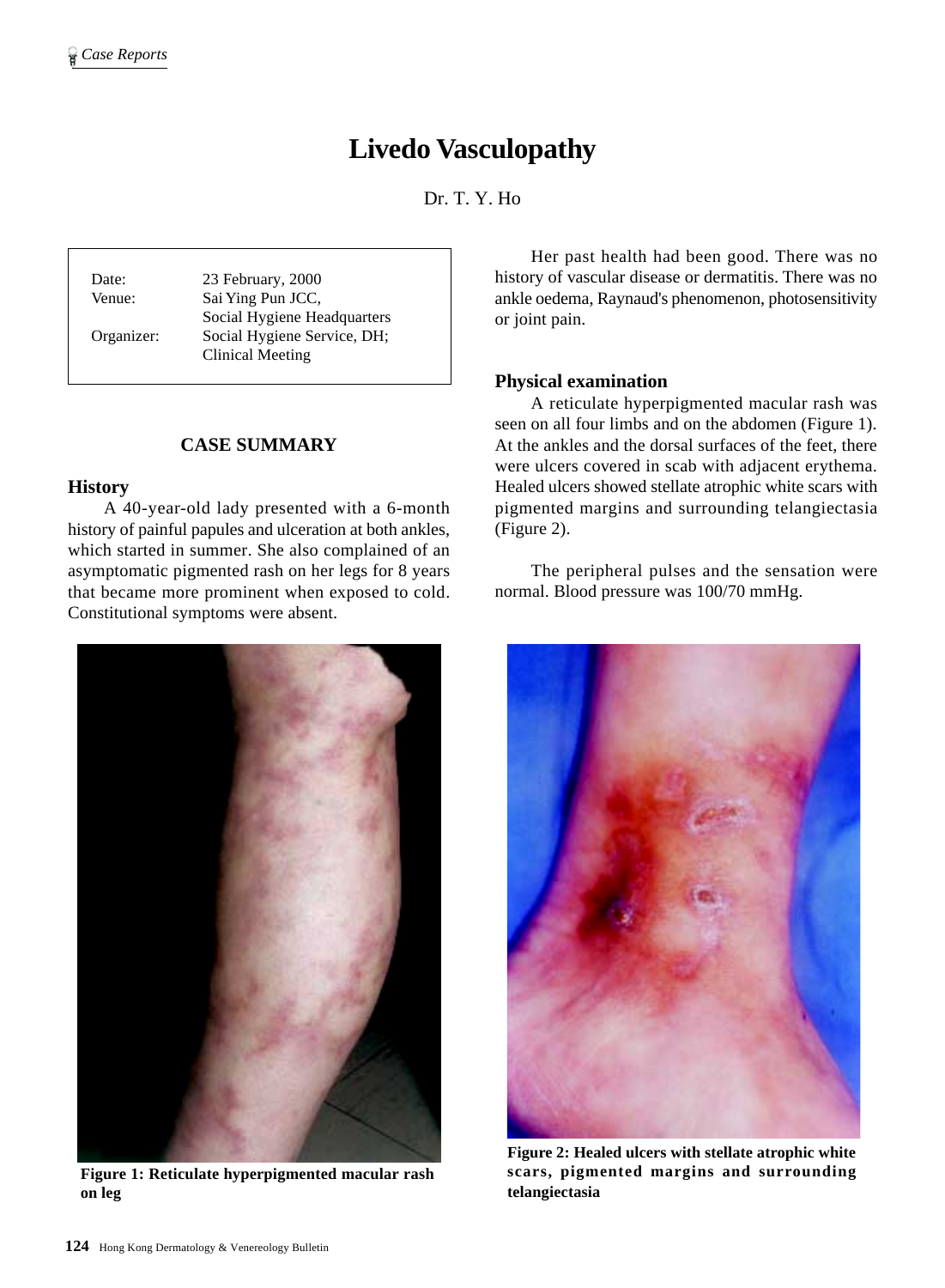# **Livedo Vasculopathy**

Dr. T. Y. Ho

Date: 23 February, 2000 Venue: Sai Ying Pun JCC, Social Hygiene Headquarters Organizer: Social Hygiene Service, DH; Clinical Meeting

## **CASE SUMMARY**

#### **History**

A 40-year-old lady presented with a 6-month history of painful papules and ulceration at both ankles, which started in summer. She also complained of an asymptomatic pigmented rash on her legs for 8 years that became more prominent when exposed to cold. Constitutional symptoms were absent.



**Figure 1: Reticulate hyperpigmented macular rash on leg**

Her past health had been good. There was no history of vascular disease or dermatitis. There was no ankle oedema, Raynaud's phenomenon, photosensitivity or joint pain.

## **Physical examination**

A reticulate hyperpigmented macular rash was seen on all four limbs and on the abdomen (Figure 1). At the ankles and the dorsal surfaces of the feet, there were ulcers covered in scab with adjacent erythema. Healed ulcers showed stellate atrophic white scars with pigmented margins and surrounding telangiectasia (Figure 2).

The peripheral pulses and the sensation were normal. Blood pressure was 100/70 mmHg.



**Figure 2: Healed ulcers with stellate atrophic white scars, pigmented margins and surrounding telangiectasia**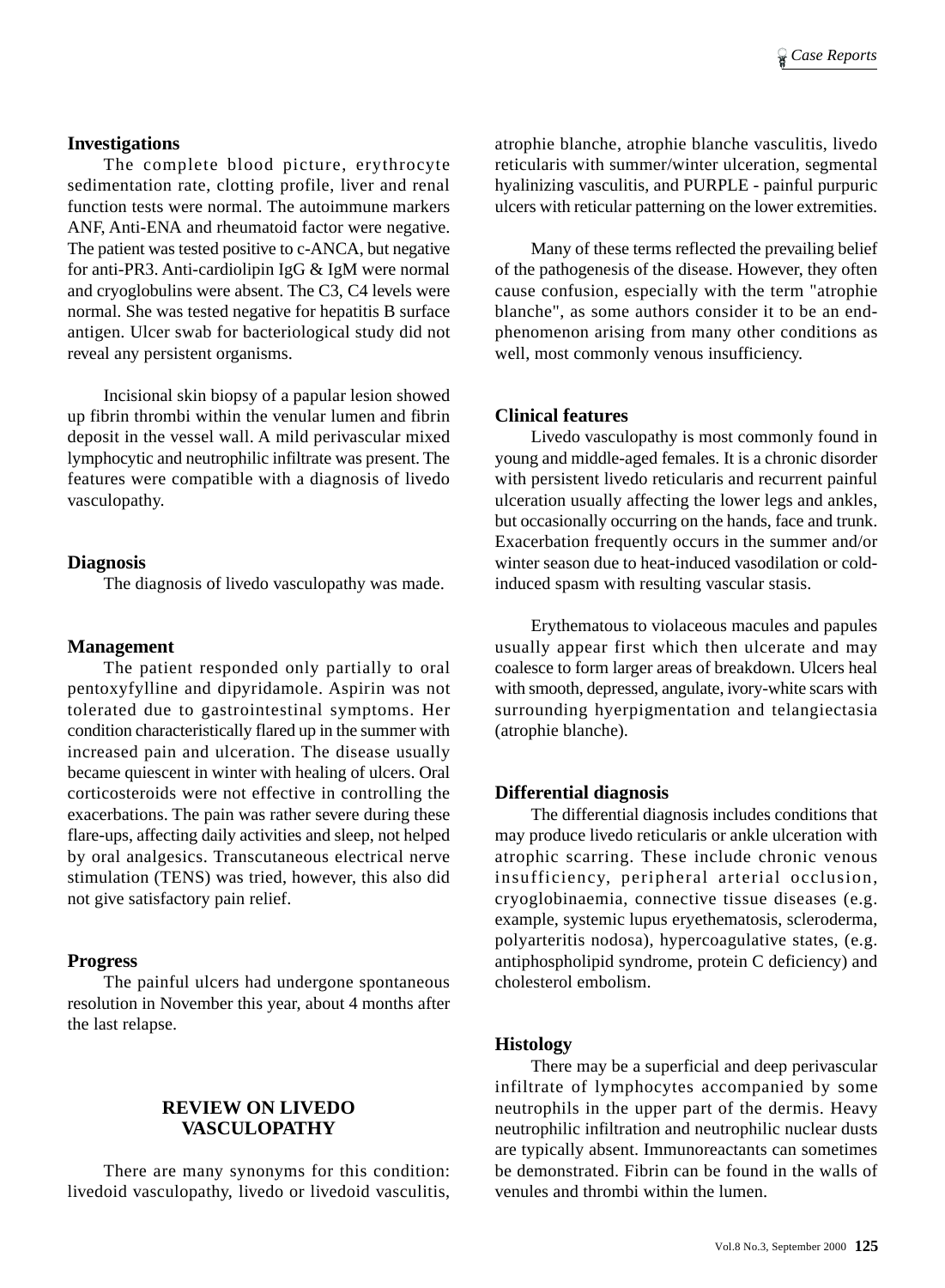## **Investigations**

The complete blood picture, erythrocyte sedimentation rate, clotting profile, liver and renal function tests were normal. The autoimmune markers ANF, Anti-ENA and rheumatoid factor were negative. The patient was tested positive to c-ANCA, but negative for anti-PR3. Anti-cardiolipin IgG & IgM were normal and cryoglobulins were absent. The C3, C4 levels were normal. She was tested negative for hepatitis B surface antigen. Ulcer swab for bacteriological study did not reveal any persistent organisms.

Incisional skin biopsy of a papular lesion showed up fibrin thrombi within the venular lumen and fibrin deposit in the vessel wall. A mild perivascular mixed lymphocytic and neutrophilic infiltrate was present. The features were compatible with a diagnosis of livedo vasculopathy.

#### **Diagnosis**

The diagnosis of livedo vasculopathy was made.

## **Management**

The patient responded only partially to oral pentoxyfylline and dipyridamole. Aspirin was not tolerated due to gastrointestinal symptoms. Her condition characteristically flared up in the summer with increased pain and ulceration. The disease usually became quiescent in winter with healing of ulcers. Oral corticosteroids were not effective in controlling the exacerbations. The pain was rather severe during these flare-ups, affecting daily activities and sleep, not helped by oral analgesics. Transcutaneous electrical nerve stimulation (TENS) was tried, however, this also did not give satisfactory pain relief.

#### **Progress**

The painful ulcers had undergone spontaneous resolution in November this year, about 4 months after the last relapse.

## **REVIEW ON LIVEDO VASCULOPATHY**

There are many synonyms for this condition: livedoid vasculopathy, livedo or livedoid vasculitis, atrophie blanche, atrophie blanche vasculitis, livedo reticularis with summer/winter ulceration, segmental hyalinizing vasculitis, and PURPLE - painful purpuric ulcers with reticular patterning on the lower extremities.

Many of these terms reflected the prevailing belief of the pathogenesis of the disease. However, they often cause confusion, especially with the term "atrophie blanche", as some authors consider it to be an endphenomenon arising from many other conditions as well, most commonly venous insufficiency.

### **Clinical features**

Livedo vasculopathy is most commonly found in young and middle-aged females. It is a chronic disorder with persistent livedo reticularis and recurrent painful ulceration usually affecting the lower legs and ankles, but occasionally occurring on the hands, face and trunk. Exacerbation frequently occurs in the summer and/or winter season due to heat-induced vasodilation or coldinduced spasm with resulting vascular stasis.

Erythematous to violaceous macules and papules usually appear first which then ulcerate and may coalesce to form larger areas of breakdown. Ulcers heal with smooth, depressed, angulate, ivory-white scars with surrounding hyerpigmentation and telangiectasia (atrophie blanche).

### **Differential diagnosis**

The differential diagnosis includes conditions that may produce livedo reticularis or ankle ulceration with atrophic scarring. These include chronic venous insufficiency, peripheral arterial occlusion, cryoglobinaemia, connective tissue diseases (e.g. example, systemic lupus eryethematosis, scleroderma, polyarteritis nodosa), hypercoagulative states, (e.g. antiphospholipid syndrome, protein C deficiency) and cholesterol embolism.

## **Histology**

There may be a superficial and deep perivascular infiltrate of lymphocytes accompanied by some neutrophils in the upper part of the dermis. Heavy neutrophilic infiltration and neutrophilic nuclear dusts are typically absent. Immunoreactants can sometimes be demonstrated. Fibrin can be found in the walls of venules and thrombi within the lumen.